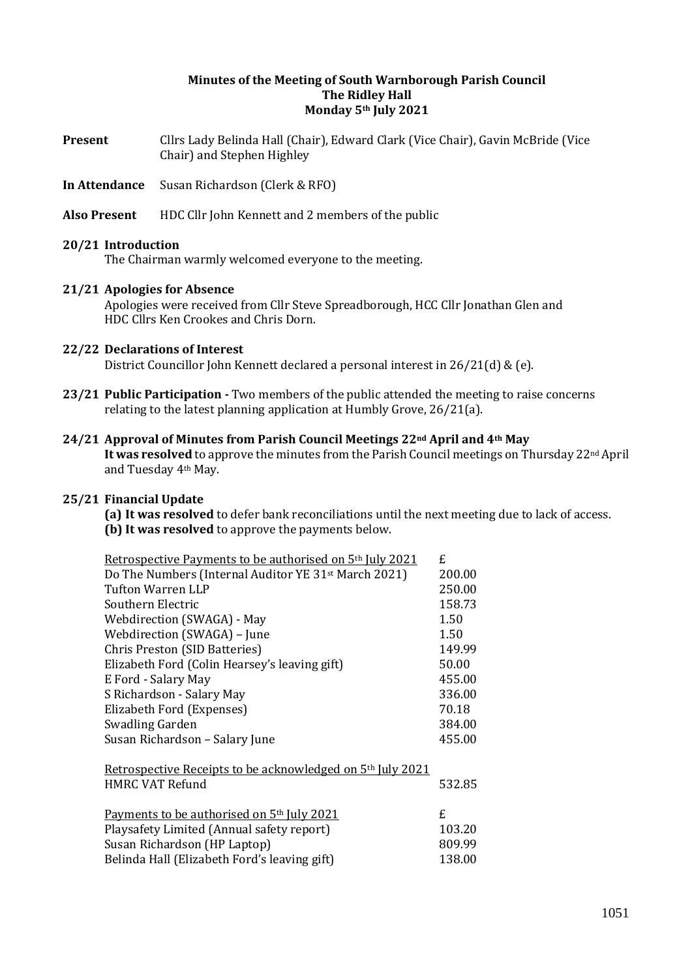## **Minutes of the Meeting of South Warnborough Parish Council The Ridley Hall Monday 5th July 2021**

- **Present** Cllrs Lady Belinda Hall (Chair), Edward Clark (Vice Chair), Gavin McBride (Vice Chair) and Stephen Highley
- **In Attendance** Susan Richardson (Clerk & RFO)
- **Also Present** HDC Cllr John Kennett and 2 members of the public

### **20/21 Introduction**

The Chairman warmly welcomed everyone to the meeting.

### **21/21 Apologies for Absence**

Apologies were received from Cllr Steve Spreadborough, HCC Cllr Jonathan Glen and HDC Cllrs Ken Crookes and Chris Dorn.

## **22/22 Declarations of Interest**

District Councillor John Kennett declared a personal interest in 26/21(d) & (e).

**23/21 Public Participation -** Two members of the public attended the meeting to raise concerns relating to the latest planning application at Humbly Grove, 26/21(a).

### **24/21 Approval of Minutes from Parish Council Meetings 22nd April and 4th May It was resolved** to approve the minutes from the Parish Council meetings on Thursday 22nd April and Tuesday 4th May.

## **25/21 Financial Update**

**(a) It was resolved** to defer bank reconciliations until the next meeting due to lack of access. **(b) It was resolved** to approve the payments below.

| <u>Retrospective Payments to be authorised on 5th July 2021</u>                                                                                                                     | £.                               |
|-------------------------------------------------------------------------------------------------------------------------------------------------------------------------------------|----------------------------------|
| Do The Numbers (Internal Auditor YE 31 <sup>st</sup> March 2021)                                                                                                                    | 200.00                           |
| <b>Tufton Warren LLP</b>                                                                                                                                                            | 250.00                           |
| Southern Electric                                                                                                                                                                   | 158.73                           |
| Webdirection (SWAGA) - May                                                                                                                                                          | 1.50                             |
| Webdirection (SWAGA) - June                                                                                                                                                         | 1.50                             |
| Chris Preston (SID Batteries)                                                                                                                                                       | 149.99                           |
| Elizabeth Ford (Colin Hearsey's leaving gift)                                                                                                                                       | 50.00                            |
| E Ford - Salary May                                                                                                                                                                 | 455.00                           |
| S Richardson - Salary May                                                                                                                                                           | 336.00                           |
| Elizabeth Ford (Expenses)                                                                                                                                                           | 70.18                            |
| Swadling Garden                                                                                                                                                                     | 384.00                           |
| Susan Richardson - Salary June                                                                                                                                                      | 455.00                           |
| Retrospective Receipts to be acknowledged on 5 <sup>th</sup> July 2021<br><b>HMRC VAT Refund</b>                                                                                    | 532.85                           |
| Payments to be authorised on 5 <sup>th</sup> July 2021<br>Playsafety Limited (Annual safety report)<br>Susan Richardson (HP Laptop)<br>Belinda Hall (Elizabeth Ford's leaving gift) | £.<br>103.20<br>809.99<br>138.00 |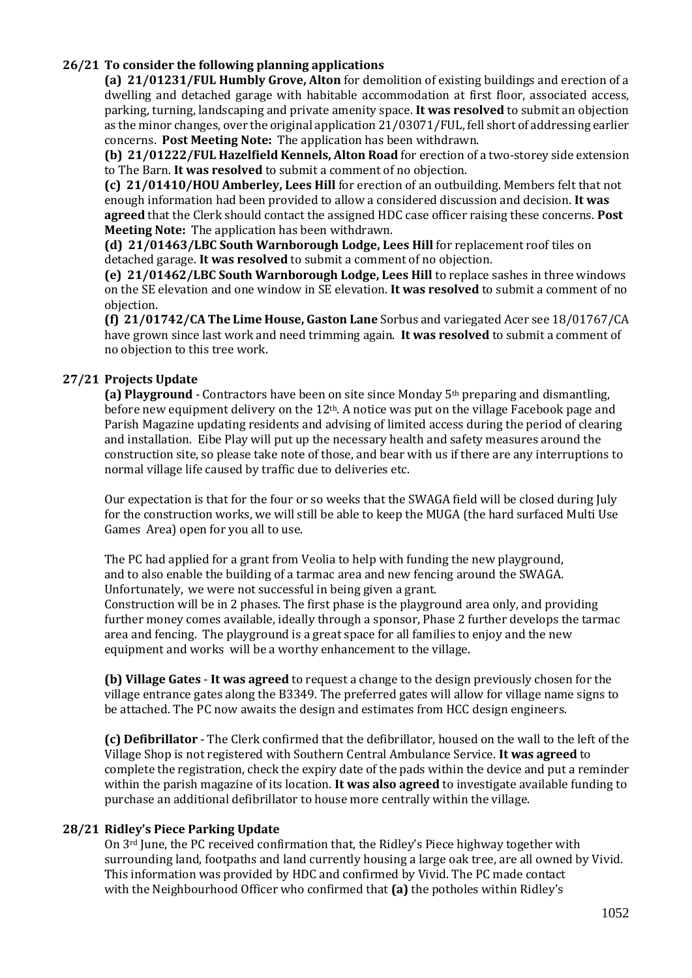# **26/21 To consider the following planning applications**

**(a) 21/01231/FUL Humbly Grove, Alton** for demolition of existing buildings and erection of a dwelling and detached garage with habitable accommodation at first floor, associated access, parking, turning, landscaping and private amenity space. **It was resolved** to submit an objection as the minor changes, over the original application 21/03071/FUL, fell short of addressing earlier concerns. **Post Meeting Note:** The application has been withdrawn.

**(b) 21/01222/FUL Hazelfield Kennels, Alton Road** for erection of a two-storey side extension to The Barn. **It was resolved** to submit a comment of no objection.

**(c) 21/01410/HOU Amberley, Lees Hill** for erection of an outbuilding. Members felt that not enough information had been provided to allow a considered discussion and decision. **It was agreed** that the Clerk should contact the assigned HDC case officer raising these concerns. **Post Meeting Note:** The application has been withdrawn.

**(d) 21/01463/LBC South Warnborough Lodge, Lees Hill** for replacement roof tiles on detached garage. **It was resolved** to submit a comment of no objection.

**(e) 21/01462/LBC South Warnborough Lodge, Lees Hill** to replace sashes in three windows on the SE elevation and one window in SE elevation. **It was resolved** to submit a comment of no objection.

**(f) 21/01742/CA The Lime House, Gaston Lane** Sorbus and variegated Acer see 18/01767/CA have grown since last work and need trimming again. **It was resolved** to submit a comment of no objection to this tree work.

# **27/21 Projects Update**

**(a) Playground** - Contractors have been on site since Monday 5th preparing and dismantling, before new equipment delivery on the 12th. A notice was put on the village Facebook page and Parish Magazine updating residents and advising of limited access during the period of clearing and installation. Eibe Play will put up the necessary health and safety measures around the construction site, so please take note of those, and bear with us if there are any interruptions to normal village life caused by traffic due to deliveries etc.

Our expectation is that for the four or so weeks that the SWAGA field will be closed during July for the construction works, we will still be able to keep the MUGA (the hard surfaced Multi Use Games Area) open for you all to use.

The PC had applied for a grant from Veolia to help with funding the new playground, and to also enable the building of a tarmac area and new fencing around the SWAGA. Unfortunately, we were not successful in being given a grant.

Construction will be in 2 phases. The first phase is the playground area only, and providing further money comes available, ideally through a sponsor, Phase 2 further develops the tarmac area and fencing. The playground is a great space for all families to enjoy and the new equipment and works will be a worthy enhancement to the village.

**(b) Village Gates** - **It was agreed** to request a change to the design previously chosen for the village entrance gates along the B3349. The preferred gates will allow for village name signs to be attached. The PC now awaits the design and estimates from HCC design engineers.

**(c) Defibrillator** - The Clerk confirmed that the defibrillator, housed on the wall to the left of the Village Shop is not registered with Southern Central Ambulance Service. **It was agreed** to complete the registration, check the expiry date of the pads within the device and put a reminder within the parish magazine of its location. **It was also agreed** to investigate available funding to purchase an additional defibrillator to house more centrally within the village.

# **28/21 Ridley's Piece Parking Update**

On 3rd June, the PC received confirmation that, the Ridley's Piece highway together with surrounding land, footpaths and land currently housing a large oak tree, are all owned by Vivid. This information was provided by HDC and confirmed by Vivid. The PC made contact with the Neighbourhood Officer who confirmed that **(a)** the potholes within Ridley's